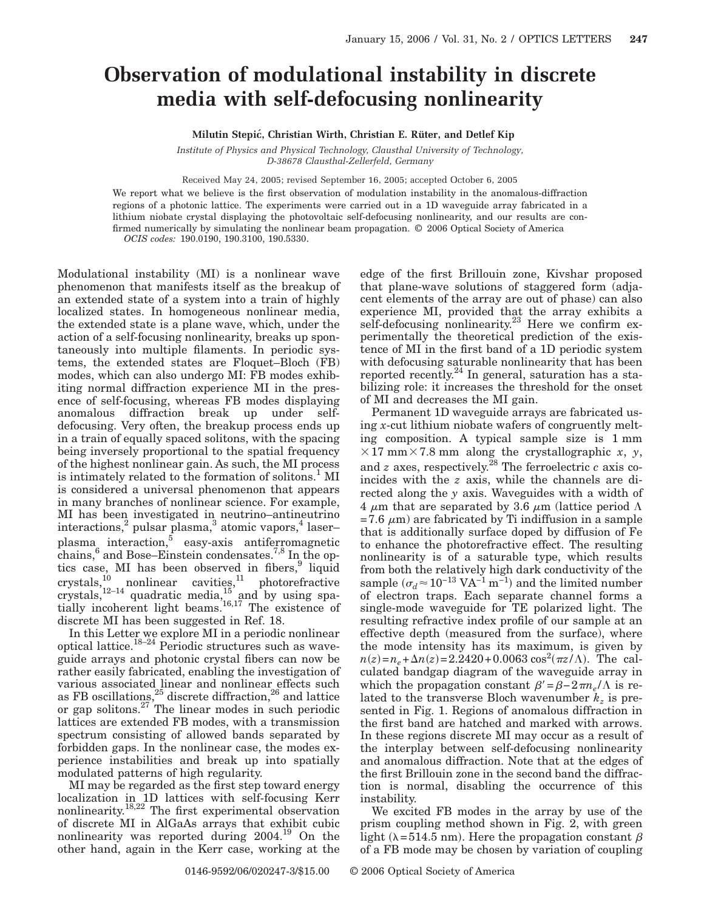## **Observation of modulational instability in discrete media with self-defocusing nonlinearity**

**Milutin Stepic´, Christian Wirth, Christian E. Rüter, and Detlef Kip**

*Institute of Physics and Physical Technology, Clausthal University of Technology, D-38678 Clausthal-Zellerfeld, Germany*

Received May 24, 2005; revised September 16, 2005; accepted October 6, 2005

We report what we believe is the first observation of modulation instability in the anomalous-diffraction regions of a photonic lattice. The experiments were carried out in a 1D waveguide array fabricated in a lithium niobate crystal displaying the photovoltaic self-defocusing nonlinearity, and our results are confirmed numerically by simulating the nonlinear beam propagation. © 2006 Optical Society of America *OCIS codes:* 190.0190, 190.3100, 190.5330.

Modulational instability (MI) is a nonlinear wave phenomenon that manifests itself as the breakup of an extended state of a system into a train of highly localized states. In homogeneous nonlinear media, the extended state is a plane wave, which, under the action of a self-focusing nonlinearity, breaks up spontaneously into multiple filaments. In periodic systems, the extended states are Floquet–Bloch (FB) modes, which can also undergo MI: FB modes exhibiting normal diffraction experience MI in the presence of self-focusing, whereas FB modes displaying anomalous diffraction break up under selfdefocusing. Very often, the breakup process ends up in a train of equally spaced solitons, with the spacing being inversely proportional to the spatial frequency of the highest nonlinear gain. As such, the MI process is intimately related to the formation of solitons.<sup>1</sup> MI is considered a universal phenomenon that appears in many branches of nonlinear science. For example, MI has been investigated in neutrino–antineutrino interactions,<sup>2</sup> pulsar plasma,<sup>3</sup> atomic vapors,<sup>4</sup> laserplasma interaction, $\bar{5}$  easy-axis antiferromagnetic chains,  $6$  and Bose–Einstein condensates.<sup>7,8</sup> In the optics case, MI has been observed in fibers,<sup>9</sup> liquid crystals, $\frac{10}{10}$  nonlinear cavities, $\frac{11}{10}$  photorefractive crystals,  $12-14$  quadratic media,  $15 \text{ and }$  by using spatially incoherent light beams.<sup>16,17</sup> The existence of discrete MI has been suggested in Ref. 18.

In this Letter we explore MI in a periodic nonlinear optical lattice.<sup>18–24</sup> Periodic structures such as waveguide arrays and photonic crystal fibers can now be rather easily fabricated, enabling the investigation of various associated linear and nonlinear effects such as FB oscillations,<sup>25</sup> discrete diffraction,<sup>26</sup> and lattice or gap solitons.<sup>27</sup> The linear modes in such periodic lattices are extended FB modes, with a transmission spectrum consisting of allowed bands separated by forbidden gaps. In the nonlinear case, the modes experience instabilities and break up into spatially modulated patterns of high regularity.

MI may be regarded as the first step toward energy localization in 1D lattices with self-focusing Kerr nonlinearity.<sup>18,22</sup> The first experimental observation of discrete MI in AlGaAs arrays that exhibit cubic nonlinearity was reported during 2004.19 On the other hand, again in the Kerr case, working at the edge of the first Brillouin zone, Kivshar proposed that plane-wave solutions of staggered form (adjacent elements of the array are out of phase) can also experience MI, provided that the array exhibits a self-defocusing nonlinearity.<sup>23</sup> Here we confirm experimentally the theoretical prediction of the existence of MI in the first band of a 1D periodic system with defocusing saturable nonlinearity that has been reported recently.<sup>24</sup> In general, saturation has a stabilizing role: it increases the threshold for the onset of MI and decreases the MI gain.

Permanent 1D waveguide arrays are fabricated using *x*-cut lithium niobate wafers of congruently melting composition. A typical sample size is 1 mm  $\times$  17 mm $\times$  7.8 mm along the crystallographic *x*, *y*, and  $z$  axes, respectively.<sup>28</sup> The ferroelectric  $c$  axis coincides with the *z* axis, while the channels are directed along the *y* axis. Waveguides with a width of  $4 \mu m$  that are separated by 3.6  $\mu m$  (lattice period  $\Lambda$ =7.6  $\mu$ m) are fabricated by Ti indiffusion in a sample that is additionally surface doped by diffusion of Fe to enhance the photorefractive effect. The resulting nonlinearity is of a saturable type, which results from both the relatively high dark conductivity of the sample  $(\sigma_d \approx 10^{-13} \text{ VA}^{-1} \text{ m}^{-1})$  and the limited number of electron traps. Each separate channel forms a single-mode waveguide for TE polarized light. The resulting refractive index profile of our sample at an effective depth (measured from the surface), where the mode intensity has its maximum, is given by  $n(z) = n_e + \Delta n(z) = 2.2420 + 0.0063 \cos^2(\pi z/\Lambda)$ . The calculated bandgap diagram of the waveguide array in which the propagation constant  $\beta' = \beta - 2\pi n_e / \Lambda$  is related to the transverse Bloch wavenumber  $k_z$  is presented in Fig. 1. Regions of anomalous diffraction in the first band are hatched and marked with arrows. In these regions discrete MI may occur as a result of the interplay between self-defocusing nonlinearity and anomalous diffraction. Note that at the edges of the first Brillouin zone in the second band the diffraction is normal, disabling the occurrence of this instability.

We excited FB modes in the array by use of the prism coupling method shown in Fig. 2, with green light ( $\lambda$ =514.5 nm). Here the propagation constant  $\beta$ of a FB mode may be chosen by variation of coupling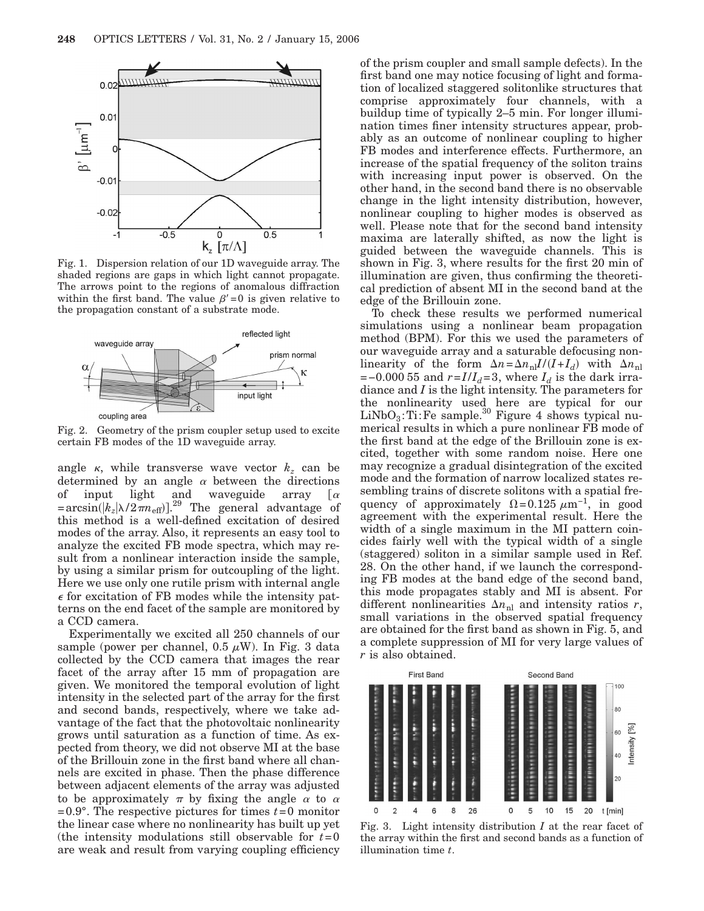

Fig. 1. Dispersion relation of our 1D waveguide array. The shaded regions are gaps in which light cannot propagate. The arrows point to the regions of anomalous diffraction within the first band. The value  $\beta' = 0$  is given relative to the propagation constant of a substrate mode.



Fig. 2. Geometry of the prism coupler setup used to excite certain FB modes of the 1D waveguide array.

angle  $\kappa$ , while transverse wave vector  $k_z$  can be determined by an angle  $\alpha$  between the directions of input light and waveguide array  $\lceil \alpha \rceil$  $\lceil \alpha \rceil$  $= \arcsin(|k_z|\lambda/2\pi n_{\text{eff}})|^{29}$  The general advantage of this method is a well-defined excitation of desired modes of the array. Also, it represents an easy tool to analyze the excited FB mode spectra, which may result from a nonlinear interaction inside the sample, by using a similar prism for outcoupling of the light. Here we use only one rutile prism with internal angle  $\epsilon$  for excitation of FB modes while the intensity patterns on the end facet of the sample are monitored by a CCD camera.

Experimentally we excited all 250 channels of our sample (power per channel, 0.5  $\mu$ W). In Fig. 3 data collected by the CCD camera that images the rear facet of the array after 15 mm of propagation are given. We monitored the temporal evolution of light intensity in the selected part of the array for the first and second bands, respectively, where we take advantage of the fact that the photovoltaic nonlinearity grows until saturation as a function of time. As expected from theory, we did not observe MI at the base of the Brillouin zone in the first band where all channels are excited in phase. Then the phase difference between adjacent elements of the array was adjusted to be approximately  $\pi$  by fixing the angle  $\alpha$  to  $\alpha$ =0.9°. The respective pictures for times *t*=0 monitor the linear case where no nonlinearity has built up yet (the intensity modulations still observable for  $t=0$ are weak and result from varying coupling efficiency

of the prism coupler and small sample defects). In the first band one may notice focusing of light and formation of localized staggered solitonlike structures that comprise approximately four channels, with a buildup time of typically 2–5 min. For longer illumination times finer intensity structures appear, probably as an outcome of nonlinear coupling to higher FB modes and interference effects. Furthermore, an increase of the spatial frequency of the soliton trains with increasing input power is observed. On the other hand, in the second band there is no observable change in the light intensity distribution, however, nonlinear coupling to higher modes is observed as well. Please note that for the second band intensity maxima are laterally shifted, as now the light is guided between the waveguide channels. This is shown in Fig. 3, where results for the first 20 min of illumination are given, thus confirming the theoretical prediction of absent MI in the second band at the edge of the Brillouin zone.

To check these results we performed numerical simulations using a nonlinear beam propagation method (BPM). For this we used the parameters of our waveguide array and a saturable defocusing nonlinearity of the form  $\Delta n = \Delta n_{\text{nl}} I / (I + I_d)$  with  $\Delta n_{\text{nl}}$  $=$ −0.000 55 and  $r = I/I_d = 3$ , where  $I_d$  is the dark irradiance and *I* is the light intensity. The parameters for the nonlinearity used here are typical for our  $LiNbO<sub>3</sub>:Ti:Fe sample.<sup>30</sup> Figure 4 shows typical nu$ merical results in which a pure nonlinear FB mode of the first band at the edge of the Brillouin zone is excited, together with some random noise. Here one may recognize a gradual disintegration of the excited mode and the formation of narrow localized states resembling trains of discrete solitons with a spatial frequency of approximately  $\Omega = 0.125 \ \mu m^{-1}$ , in good agreement with the experimental result. Here the width of a single maximum in the MI pattern coincides fairly well with the typical width of a single (staggered) soliton in a similar sample used in Ref. 28. On the other hand, if we launch the corresponding FB modes at the band edge of the second band, this mode propagates stably and MI is absent. For different nonlinearities  $\Delta n_{\text{nl}}$  and intensity ratios *r*, small variations in the observed spatial frequency are obtained for the first band as shown in Fig. 5, and a complete suppression of MI for very large values of *r* is also obtained.



Fig. 3. Light intensity distribution *I* at the rear facet of the array within the first and second bands as a function of illumination time *t*.